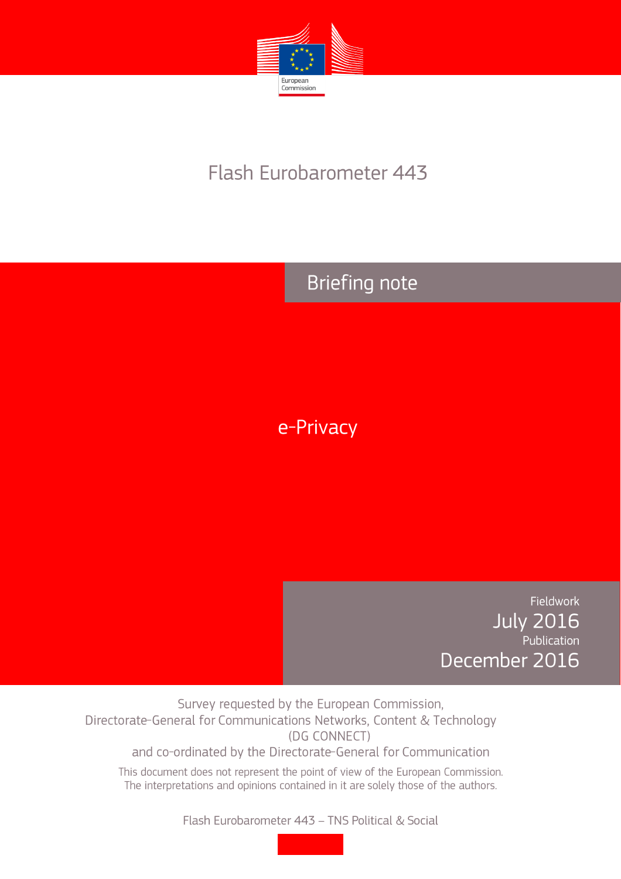

# Flash Eurobarometer 443

## **Briefing note**

e-Privacy

Fieldwork **July 2016** .<br>Publication December 2016

Survey requested by the European Commission, Directorate-General for Communications Networks, Content & Technology (DG CONNECT)

and co-ordinated by the Directorate-General for Communication

This document does not represent the point of view of the European Commission. The interpretations and opinions contained in it are solely those of the authors.

Flash Eurobarometer 443 - TNS Political & Social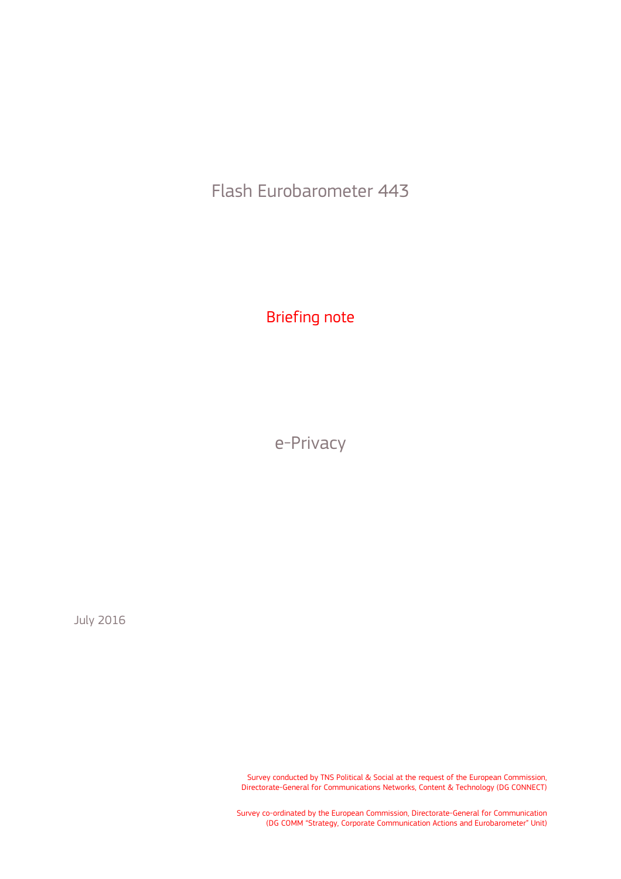Flash Eurobarometer 443

Briefing note

e-Privacy

July 2016

Survey conducted by TNS Political & Social at the request of the European Commission, Directorate-General for Communications Networks, Content & Technology (DG CONNECT)

Survey co-ordinated by the European Commission, Directorate-General for Communication (DG COMM "Strategy, Corporate Communication Actions and Eurobarometer" Unit)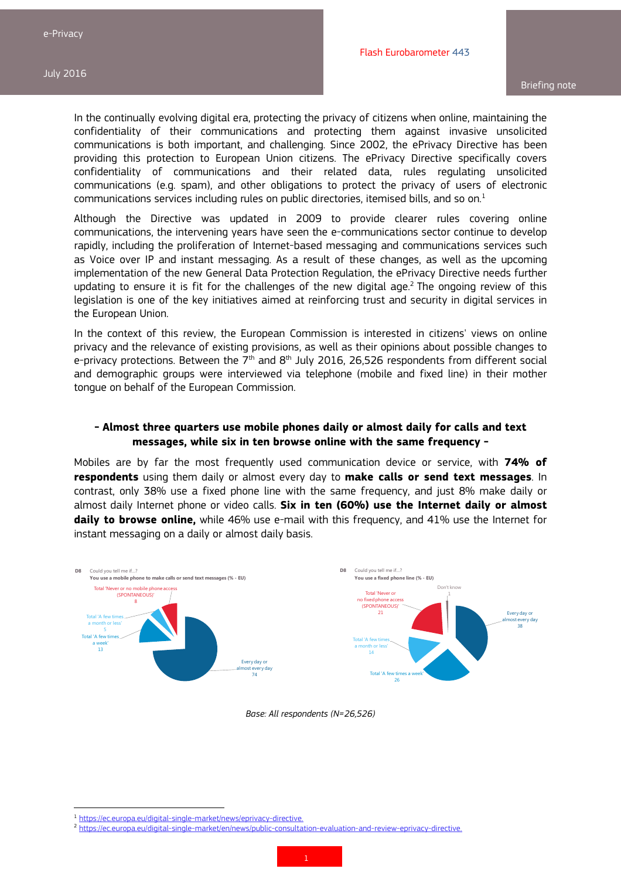In the continually evolving digital era, protecting the privacy of citizens when online, maintaining the confidentiality of their communications and protecting them against invasive unsolicited communications is both important, and challenging. Since 2002, the ePrivacy Directive has been providing this protection to European Union citizens. The ePrivacy Directive specifically covers confidentiality of communications and their related data, rules regulating unsolicited communications (e.g. spam), and other obligations to protect the privacy of users of electronic communications services including rules on public directories, itemised bills, and so on.<sup>1</sup>

Although the Directive was updated in 2009 to provide clearer rules covering online communications, the intervening years have seen the e-communications sector continue to develop rapidly, including the proliferation of Internet-based messaging and communications services such as Voice over IP and instant messaging. As a result of these changes, as well as the upcoming implementation of the new General Data Protection Regulation, the ePrivacy Directive needs further updating to ensure it is fit for the challenges of the new digital age. $2$  The ongoing review of this legislation is one of the key initiatives aimed at reinforcing trust and security in digital services in the European Union.

In the context of this review, the European Commission is interested in citizens' views on online privacy and the relevance of existing provisions, as well as their opinions about possible changes to e-privacy protections. Between the  $7<sup>th</sup>$  and  $8<sup>th</sup>$  July 2016, 26,526 respondents from different social and demographic groups were interviewed via telephone (mobile and fixed line) in their mother tongue on behalf of the European Commission.

#### **- Almost three quarters use mobile phones daily or almost daily for calls and text messages, while six in ten browse online with the same frequency -**

Mobiles are by far the most frequently used communication device or service, with **74% of respondents** using them daily or almost every day to **make calls or send text messages**. In contrast, only 38% use a fixed phone line with the same frequency, and just 8% make daily or almost daily Internet phone or video calls. **Six in ten (60%) use the Internet daily or almost daily to browse online,** while 46% use e-mail with this frequency, and 41% use the Internet for instant messaging on a daily or almost daily basis.



*Base: All respondents (N=26,526)* 

 $\frac{1}{2} \frac{https://ec.europa.eu/digital-single-market/news/eprivacy-directive.}{https://ec.europa.eu/digital-single-market/en/news/public-consultation-evaluation-and-review-eprivacy-directive.}$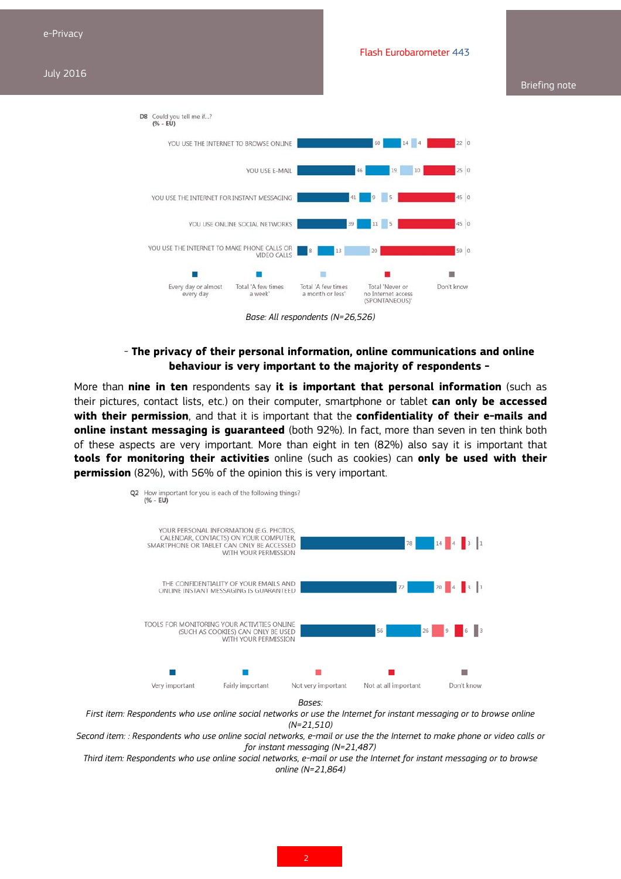#### Briefing note



*Base: All respondents (N=26,526)* 

### - **The privacy of their personal information, online communications and online behaviour is very important to the majority of respondents -**

More than **nine in ten** respondents say **it is important that personal information** (such as their pictures, contact lists, etc.) on their computer, smartphone or tablet **can only be accessed with their permission**, and that it is important that the **confidentiality of their e-mails and online instant messaging is guaranteed** (both 92%). In fact, more than seven in ten think both of these aspects are very important. More than eight in ten (82%) also say it is important that **tools for monitoring their activities** online (such as cookies) can **only be used with their permission** (82%), with 56% of the opinion this is very important.



*First item: Respondents who use online social networks or use the Internet for instant messaging or to browse online (N=21,510)* 

*Second item: : Respondents who use online social networks, e-mail or use the the Internet to make phone or video calls or for instant messaging (N=21,487)* 

*Third item: Respondents who use online social networks, e-mail or use the Internet for instant messaging or to browse online (N=21,864)*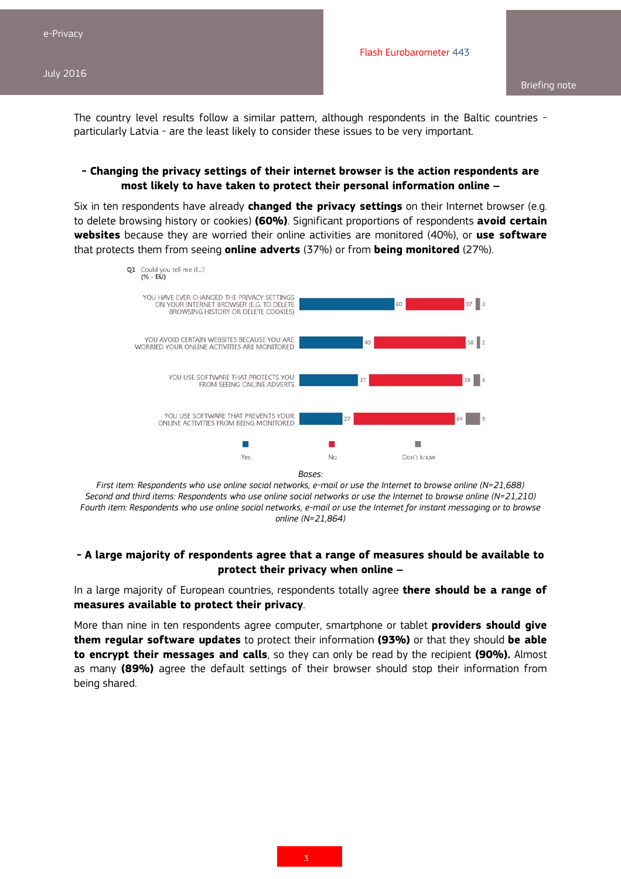The country level results follow a similar pattern, although respondents in the Baltic countries particularly Latvia - are the least likely to consider these issues to be very important.

### **- Changing the privacy settings of their internet browser is the action respondents are most likely to have taken to protect their personal information online –**

Six in ten respondents have already **changed the privacy settings** on their Internet browser (e.g. to delete browsing history or cookies) **(60%)**. Significant proportions of respondents **avoid certain websites** because they are worried their online activities are monitored (40%), or **use software** that protects them from seeing **online adverts** (37%) or from **being monitored** (27%).



*Bases:* 

*First item: Respondents who use online social networks, e-mail or use the Internet to browse online (N=21,688) Second and third items: Respondents who use online social networks or use the Internet to browse online (N=21,210) Fourth item: Respondents who use online social networks, e-mail or use the Internet for instant messaging or to browse online (N=21,864)* 

### **- A large majority of respondents agree that a range of measures should be available to protect their privacy when online –**

In a large majority of European countries, respondents totally agree **there should be a range of measures available to protect their privacy**.

More than nine in ten respondents agree computer, smartphone or tablet **providers should give them regular software updates** to protect their information **(93%)** or that they should **be able to encrypt their messages and calls**, so they can only be read by the recipient **(90%).** Almost as many **(89%)** agree the default settings of their browser should stop their information from being shared.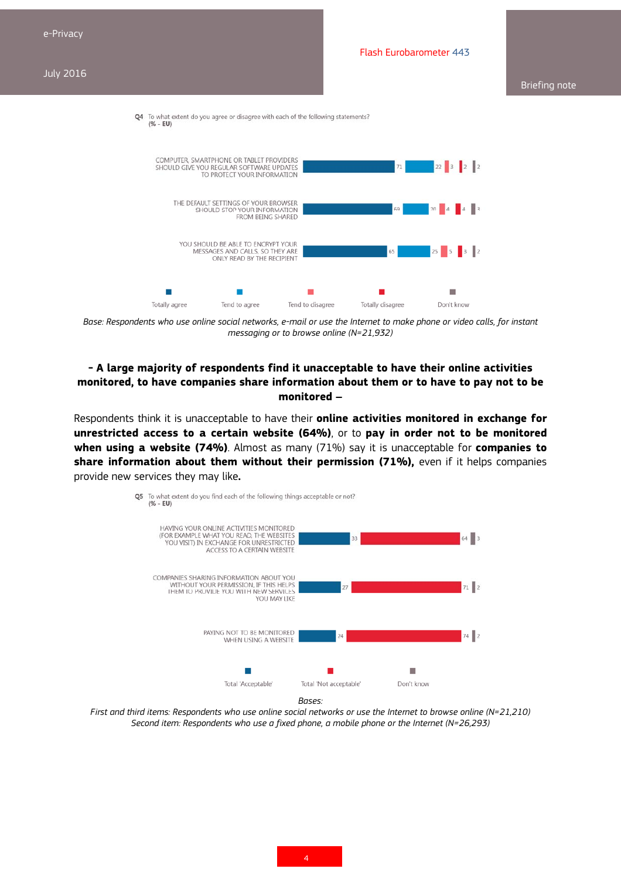#### Briefing note



Base: Respondents who use online social networks, e-mail or use the Internet to make phone or video calls, for instant *messaging or to browse online (N=21,932)* 

## **- A large majority of respondents find it unacceptable to have their online activities monitored, to have companies share information about them or to have to pay not to be monitored –**

Respondents think it is unacceptable to have their **online activities monitored in exchange for unrestricted access to a certain website (64%)**, or to **pay in order not to be monitored when using a website (74%)**. Almost as many (71%) say it is unacceptable for **companies to**  share information about them without their permission (71%), even if it helps companies provide new services they may like**.**



*First and third items: Respondents who use online social networks or use the Internet to browse online (N=21,210) Second item: Respondents who use a fixed phone, a mobile phone or the Internet (N=26,293)*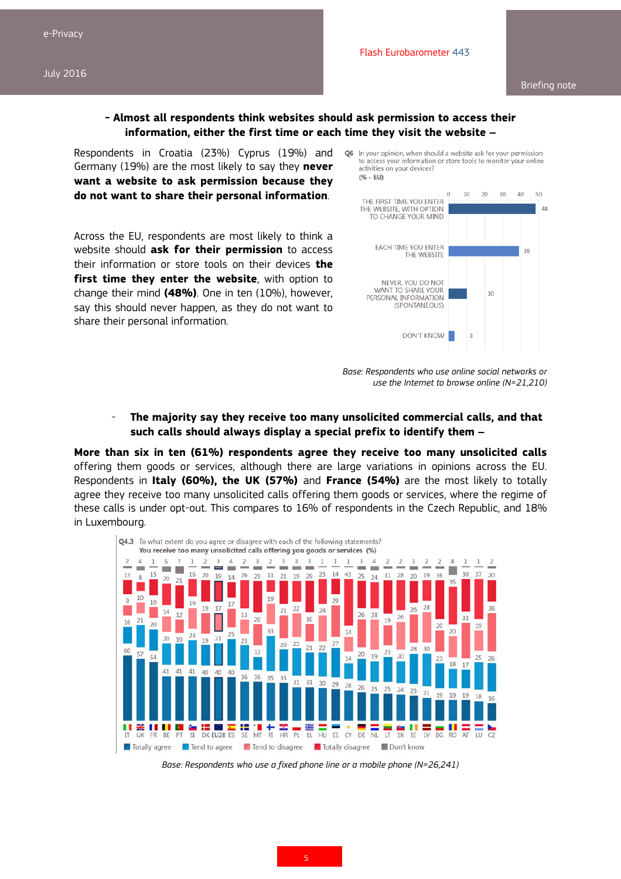$3<sub>d</sub>$ 

 $10$ 

3

#### **- Almost all respondents think websites should ask permission to access their information, either the first time or each time they visit the website –**

Respondents in Croatia (23%) Cyprus (19%) and Q6 In your opinion, when should a website ask for your permission Germany (19%) are the most likely to say they **never want a website to ask permission because they do not want to share their personal information**.

Across the EU, respondents are most likely to think a website should **ask for their permission** to access their information or store tools on their devices **the first time they enter the website**, with option to change their mind **(48%)**. One in ten (10%), however, say this should never happen, as they do not want to share their personal information.



THE WEBSITE

**DON'T KNOW** 

NEVER, YOU DO NOT WANT TO SHARE YOUR

PERSONAL INFORMATION (SPONTANEOUS)



### - **The majority say they receive too many unsolicited commercial calls, and that such calls should always display a special prefix to identify them –**

**More than six in ten (61%) respondents agree they receive too many unsolicited calls**  offering them goods or services, although there are large variations in opinions across the EU. Respondents in **Italy (60%), the UK (57%)** and **France (54%)** are the most likely to totally agree they receive too many unsolicited calls offering them goods or services, where the regime of these calls is under opt-out. This compares to 16% of respondents in the Czech Republic, and 18% in Luxembourg.



*Base: Respondents who use a fixed phone line or a mobile phone (N=26,241)*